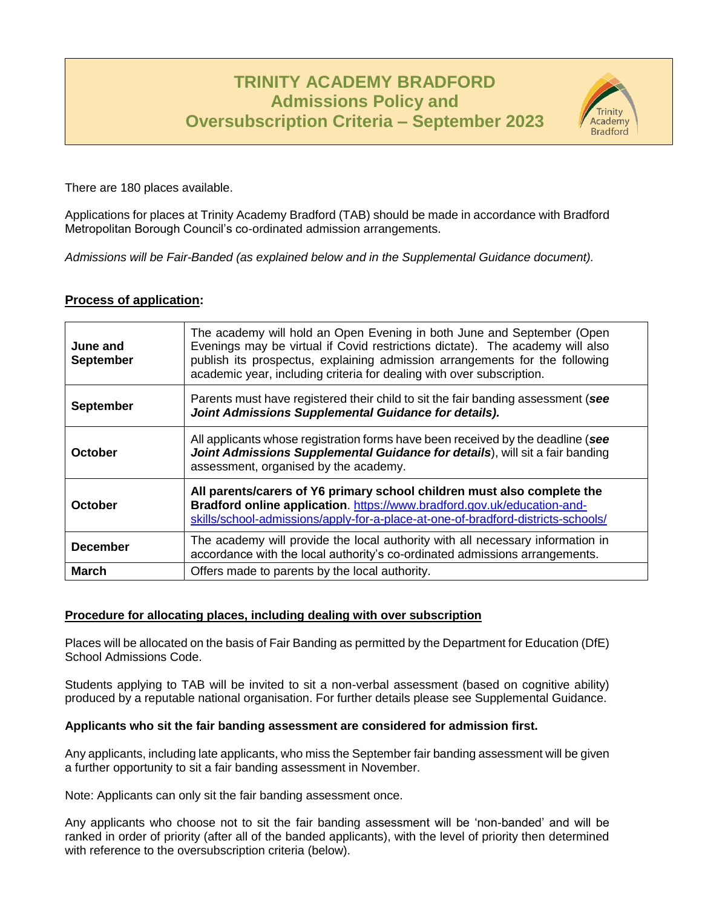# **TRINITY ACADEMY BRADFORD Admissions Policy and Oversubscription Criteria – September 2023**



There are 180 places available.

Applications for places at Trinity Academy Bradford (TAB) should be made in accordance with Bradford Metropolitan Borough Council's co-ordinated admission arrangements.

*Admissions will be Fair-Banded (as explained below and in the Supplemental Guidance document).*

## **Process of application:**

| June and<br><b>September</b> | The academy will hold an Open Evening in both June and September (Open<br>Evenings may be virtual if Covid restrictions dictate). The academy will also<br>publish its prospectus, explaining admission arrangements for the following<br>academic year, including criteria for dealing with over subscription. |
|------------------------------|-----------------------------------------------------------------------------------------------------------------------------------------------------------------------------------------------------------------------------------------------------------------------------------------------------------------|
| <b>September</b>             | Parents must have registered their child to sit the fair banding assessment (see<br>Joint Admissions Supplemental Guidance for details).                                                                                                                                                                        |
| October                      | All applicants whose registration forms have been received by the deadline (see<br>Joint Admissions Supplemental Guidance for details), will sit a fair banding<br>assessment, organised by the academy.                                                                                                        |
| October                      | All parents/carers of Y6 primary school children must also complete the<br>Bradford online application. https://www.bradford.gov.uk/education-and-<br>skills/school-admissions/apply-for-a-place-at-one-of-bradford-districts-schools/                                                                          |
| <b>December</b>              | The academy will provide the local authority with all necessary information in<br>accordance with the local authority's co-ordinated admissions arrangements.                                                                                                                                                   |
| <b>March</b>                 | Offers made to parents by the local authority.                                                                                                                                                                                                                                                                  |

#### **Procedure for allocating places, including dealing with over subscription**

Places will be allocated on the basis of Fair Banding as permitted by the Department for Education (DfE) School Admissions Code.

Students applying to TAB will be invited to sit a non-verbal assessment (based on cognitive ability) produced by a reputable national organisation. For further details please see Supplemental Guidance.

#### **Applicants who sit the fair banding assessment are considered for admission first.**

Any applicants, including late applicants, who miss the September fair banding assessment will be given a further opportunity to sit a fair banding assessment in November.

Note: Applicants can only sit the fair banding assessment once.

Any applicants who choose not to sit the fair banding assessment will be 'non-banded' and will be ranked in order of priority (after all of the banded applicants), with the level of priority then determined with reference to the oversubscription criteria (below).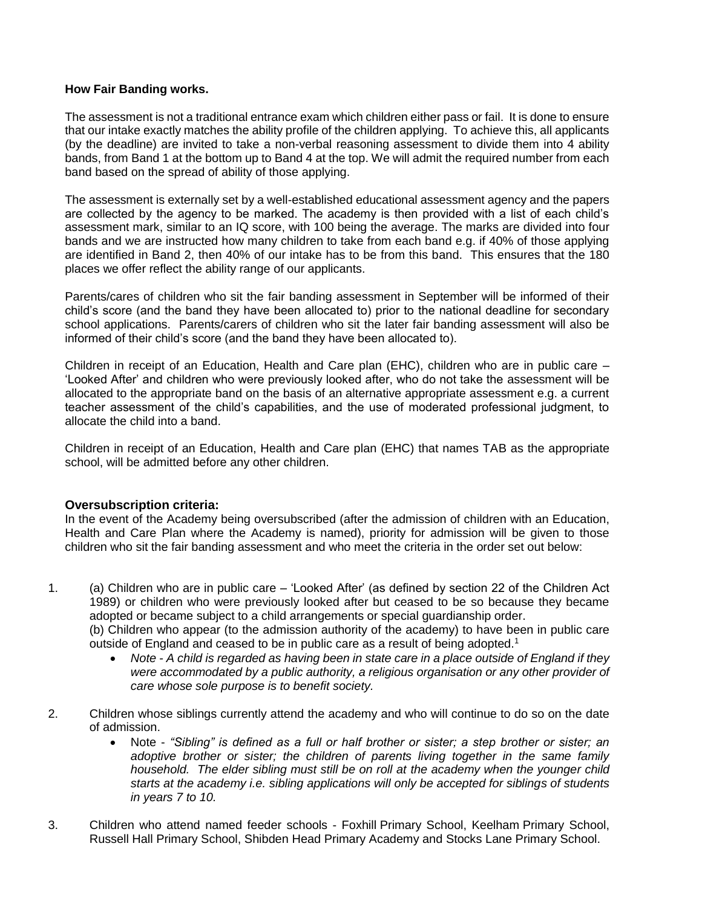#### **How Fair Banding works.**

The assessment is not a traditional entrance exam which children either pass or fail. It is done to ensure that our intake exactly matches the ability profile of the children applying. To achieve this, all applicants (by the deadline) are invited to take a non-verbal reasoning assessment to divide them into 4 ability bands, from Band 1 at the bottom up to Band 4 at the top. We will admit the required number from each band based on the spread of ability of those applying.

The assessment is externally set by a well-established educational assessment agency and the papers are collected by the agency to be marked. The academy is then provided with a list of each child's assessment mark, similar to an IQ score, with 100 being the average. The marks are divided into four bands and we are instructed how many children to take from each band e.g. if 40% of those applying are identified in Band 2, then 40% of our intake has to be from this band. This ensures that the 180 places we offer reflect the ability range of our applicants.

Parents/cares of children who sit the fair banding assessment in September will be informed of their child's score (and the band they have been allocated to) prior to the national deadline for secondary school applications. Parents/carers of children who sit the later fair banding assessment will also be informed of their child's score (and the band they have been allocated to).

Children in receipt of an Education, Health and Care plan (EHC), children who are in public care – 'Looked After' and children who were previously looked after, who do not take the assessment will be allocated to the appropriate band on the basis of an alternative appropriate assessment e.g. a current teacher assessment of the child's capabilities, and the use of moderated professional judgment, to allocate the child into a band.

Children in receipt of an Education, Health and Care plan (EHC) that names TAB as the appropriate school, will be admitted before any other children.

### **Oversubscription criteria:**

In the event of the Academy being oversubscribed (after the admission of children with an Education, Health and Care Plan where the Academy is named), priority for admission will be given to those children who sit the fair banding assessment and who meet the criteria in the order set out below:

- 1. (a) Children who are in public care 'Looked After' (as defined by section 22 of the Children Act 1989) or children who were previously looked after but ceased to be so because they became adopted or became subject to a child arrangements or special guardianship order. (b) Children who appear (to the admission authority of the academy) to have been in public care outside of England and ceased to be in public care as a result of being adopted.<sup>1</sup>
	- *Note - A child is regarded as having been in state care in a place outside of England if they were accommodated by a public authority, a religious organisation or any other provider of care whose sole purpose is to benefit society.*
- 2. Children whose siblings currently attend the academy and who will continue to do so on the date of admission.
	- Note *"Sibling" is defined as a full or half brother or sister; a step brother or sister; an adoptive brother or sister; the children of parents living together in the same family household. The elder sibling must still be on roll at the academy when the younger child starts at the academy i.e. sibling applications will only be accepted for siblings of students in years 7 to 10.*
- 3. Children who attend named feeder schools Foxhill Primary School, Keelham Primary School, Russell Hall Primary School, Shibden Head Primary Academy and Stocks Lane Primary School.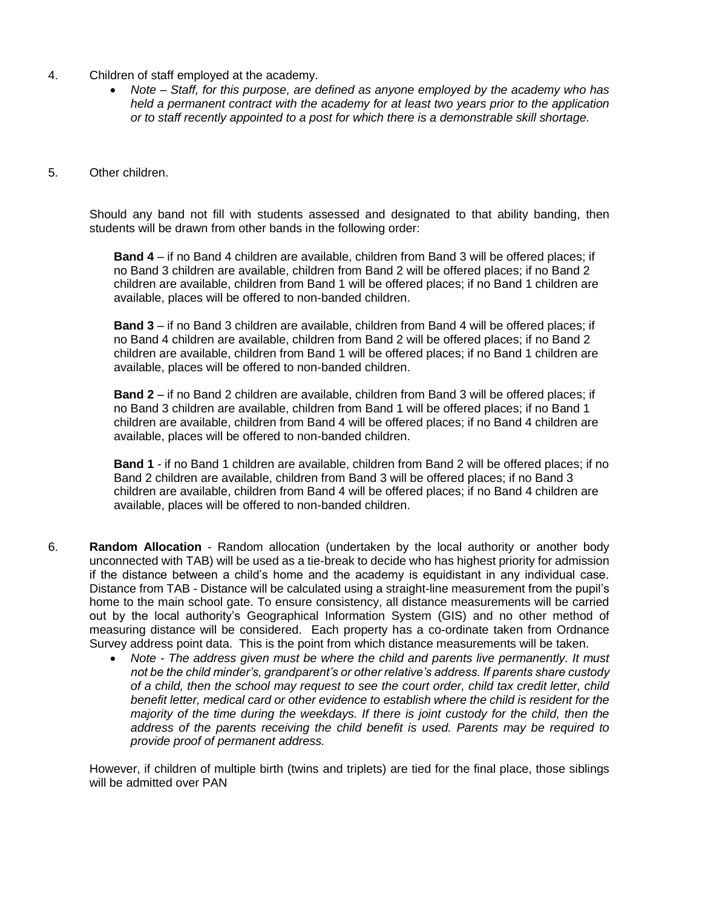- 4. Children of staff employed at the academy.
	- *Note – Staff, for this purpose, are defined as anyone employed by the academy who has held a permanent contract with the academy for at least two years prior to the application or to staff recently appointed to a post for which there is a demonstrable skill shortage.*
- 5. Other children.

Should any band not fill with students assessed and designated to that ability banding, then students will be drawn from other bands in the following order:

**Band 4** – if no Band 4 children are available, children from Band 3 will be offered places; if no Band 3 children are available, children from Band 2 will be offered places; if no Band 2 children are available, children from Band 1 will be offered places; if no Band 1 children are available, places will be offered to non-banded children.

**Band 3** – if no Band 3 children are available, children from Band 4 will be offered places; if no Band 4 children are available, children from Band 2 will be offered places; if no Band 2 children are available, children from Band 1 will be offered places; if no Band 1 children are available, places will be offered to non-banded children.

**Band 2** – if no Band 2 children are available, children from Band 3 will be offered places; if no Band 3 children are available, children from Band 1 will be offered places; if no Band 1 children are available, children from Band 4 will be offered places; if no Band 4 children are available, places will be offered to non-banded children.

**Band 1** - if no Band 1 children are available, children from Band 2 will be offered places; if no Band 2 children are available, children from Band 3 will be offered places; if no Band 3 children are available, children from Band 4 will be offered places; if no Band 4 children are available, places will be offered to non-banded children.

- 6. **Random Allocation** Random allocation (undertaken by the local authority or another body unconnected with TAB) will be used as a tie-break to decide who has highest priority for admission if the distance between a child's home and the academy is equidistant in any individual case. Distance from TAB - Distance will be calculated using a straight-line measurement from the pupil's home to the main school gate. To ensure consistency, all distance measurements will be carried out by the local authority's Geographical Information System (GIS) and no other method of measuring distance will be considered. Each property has a co-ordinate taken from Ordnance Survey address point data. This is the point from which distance measurements will be taken.
	- *Note - The address given must be where the child and parents live permanently. It must not be the child minder's, grandparent's or other relative's address. If parents share custody of a child, then the school may request to see the court order, child tax credit letter, child benefit letter, medical card or other evidence to establish where the child is resident for the majority of the time during the weekdays. If there is joint custody for the child, then the address of the parents receiving the child benefit is used. Parents may be required to provide proof of permanent address.*

However, if children of multiple birth (twins and triplets) are tied for the final place, those siblings will be admitted over PAN